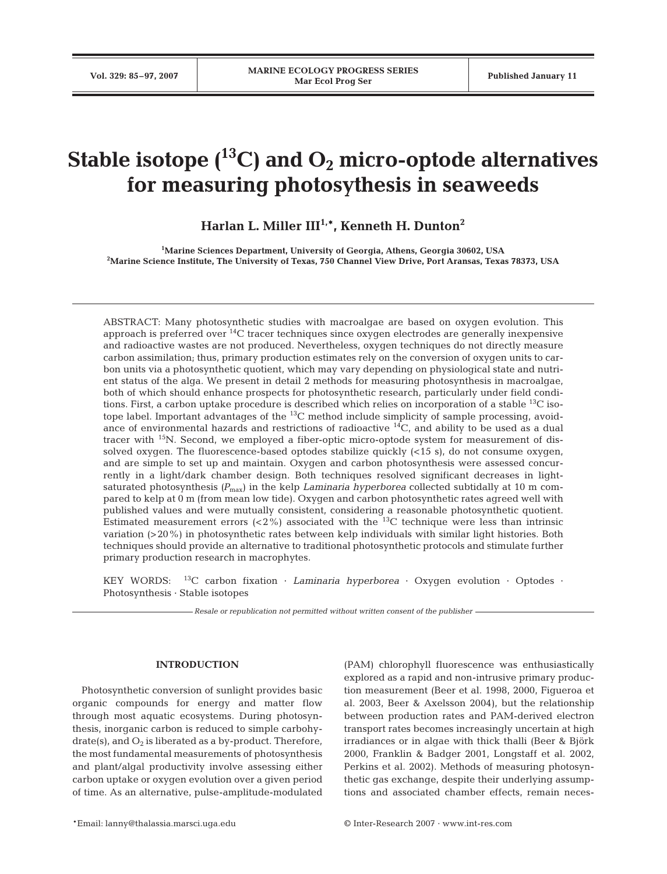# **Stable isotope**  $(^{13}C)$  and  $O_2$  micro-optode alternatives **for measuring photosythesis in seaweeds**

**Harlan L. Miller III1,\*, Kenneth H. Dunton2**

**1 Marine Sciences Department, University of Georgia, Athens, Georgia 30602, USA 2 Marine Science Institute, The University of Texas, 750 Channel View Drive, Port Aransas, Texas 78373, USA**

ABSTRACT: Many photosynthetic studies with macroalgae are based on oxygen evolution. This approach is preferred over 14C tracer techniques since oxygen electrodes are generally inexpensive and radioactive wastes are not produced. Nevertheless, oxygen techniques do not directly measure carbon assimilation; thus, primary production estimates rely on the conversion of oxygen units to carbon units via a photosynthetic quotient, which may vary depending on physiological state and nutrient status of the alga. We present in detail 2 methods for measuring photosynthesis in macroalgae, both of which should enhance prospects for photosynthetic research, particularly under field conditions. First, a carbon uptake procedure is described which relies on incorporation of a stable 13C isotope label. Important advantages of the  $^{13}$ C method include simplicity of sample processing, avoidance of environmental hazards and restrictions of radioactive 14C, and ability to be used as a dual tracer with 15N. Second, we employed a fiber-optic micro-optode system for measurement of dissolved oxygen. The fluorescence-based optodes stabilize quickly (<15 s), do not consume oxygen, and are simple to set up and maintain. Oxygen and carbon photosynthesis were assessed concurrently in a light/dark chamber design. Both techniques resolved significant decreases in lightsaturated photosynthesis *(P*max) in the kelp *Laminaria hyperborea* collected subtidally at 10 m compared to kelp at 0 m (from mean low tide). Oxygen and carbon photosynthetic rates agreed well with published values and were mutually consistent, considering a reasonable photosynthetic quotient. Estimated measurement errors  $\left( < 2\% \right)$  associated with the <sup>13</sup>C technique were less than intrinsic variation (> 20%) in photosynthetic rates between kelp individuals with similar light histories. Both techniques should provide an alternative to traditional photosynthetic protocols and stimulate further primary production research in macrophytes.

KEY WORDS: 13C carbon fixation · *Laminaria hyperborea* · Oxygen evolution · Optodes · Photosynthesis · Stable isotopes

*Resale or republication not permitted without written consent of the publisher*

## **INTRODUCTION**

Photosynthetic conversion of sunlight provides basic organic compounds for energy and matter flow through most aquatic ecosystems. During photosynthesis, inorganic carbon is reduced to simple carbohydrate(s), and  $O_2$  is liberated as a by-product. Therefore, the most fundamental measurements of photosynthesis and plant/algal productivity involve assessing either carbon uptake or oxygen evolution over a given period of time. As an alternative, pulse-amplitude-modulated (PAM) chlorophyll fluorescence was enthusiastically explored as a rapid and non-intrusive primary production measurement (Beer et al. 1998, 2000, Figueroa et al. 2003, Beer & Axelsson 2004), but the relationship between production rates and PAM-derived electron transport rates becomes increasingly uncertain at high irradiances or in algae with thick thalli (Beer & Björk 2000, Franklin & Badger 2001, Longstaff et al. 2002, Perkins et al. 2002). Methods of measuring photosynthetic gas exchange, despite their underlying assumptions and associated chamber effects, remain neces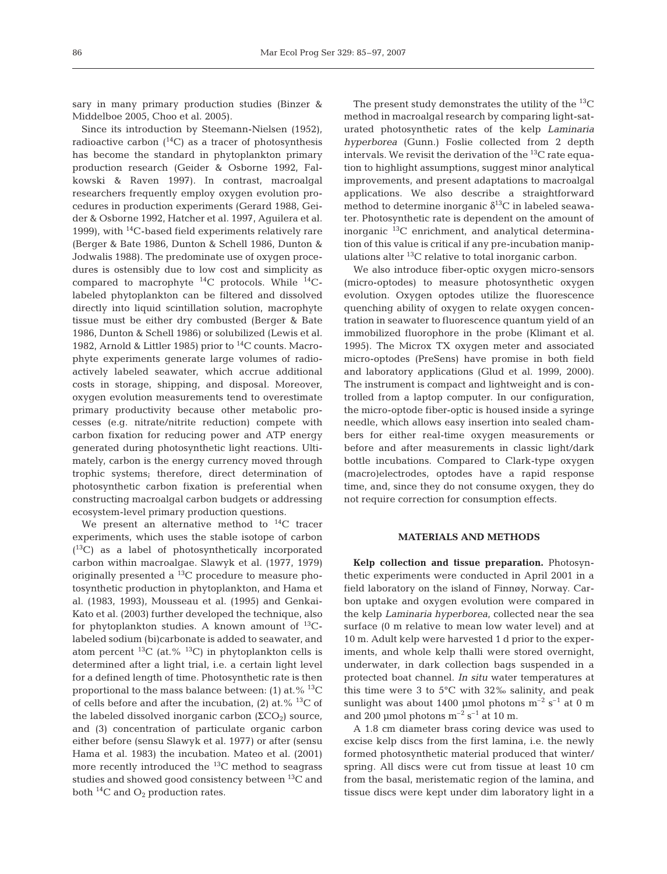sary in many primary production studies (Binzer & Middelboe 2005, Choo et al. 2005).

Since its introduction by Steemann-Nielsen (1952), radioactive carbon  $(^{14}C)$  as a tracer of photosynthesis has become the standard in phytoplankton primary production research (Geider & Osborne 1992, Falkowski & Raven 1997). In contrast, macroalgal researchers frequently employ oxygen evolution procedures in production experiments (Gerard 1988, Geider & Osborne 1992, Hatcher et al. 1997, Aguilera et al. 1999), with  $^{14}$ C-based field experiments relatively rare (Berger & Bate 1986, Dunton & Schell 1986, Dunton & Jodwalis 1988). The predominate use of oxygen procedures is ostensibly due to low cost and simplicity as compared to macrophyte 14C protocols. While 14Clabeled phytoplankton can be filtered and dissolved directly into liquid scintillation solution, macrophyte tissue must be either dry combusted (Berger & Bate 1986, Dunton & Schell 1986) or solubilized (Lewis et al. 1982, Arnold & Littler 1985) prior to  $^{14}$ C counts. Macrophyte experiments generate large volumes of radioactively labeled seawater, which accrue additional costs in storage, shipping, and disposal. Moreover, oxygen evolution measurements tend to overestimate primary productivity because other metabolic processes (e.g. nitrate/nitrite reduction) compete with carbon fixation for reducing power and ATP energy generated during photosynthetic light reactions. Ultimately, carbon is the energy currency moved through trophic systems; therefore, direct determination of photosynthetic carbon fixation is preferential when constructing macroalgal carbon budgets or addressing ecosystem-level primary production questions.

We present an alternative method to  $^{14}C$  tracer experiments, which uses the stable isotope of carbon ( 13C) as a label of photosynthetically incorporated carbon within macroalgae. Slawyk et al. (1977, 1979) originally presented a  $^{13}$ C procedure to measure photosynthetic production in phytoplankton, and Hama et al. (1983, 1993), Mousseau et al. (1995) and Genkai-Kato et al. (2003) further developed the technique, also for phytoplankton studies. A known amount of  $^{13}C$ labeled sodium (bi)carbonate is added to seawater, and atom percent <sup>13</sup>C (at.% <sup>13</sup>C) in phytoplankton cells is determined after a light trial, i.e. a certain light level for a defined length of time. Photosynthetic rate is then proportional to the mass balance between: (1) at.%  $^{13}C$ of cells before and after the incubation, (2) at.%  $^{13}$ C of the labeled dissolved inorganic carbon (ΣCO<sub>2</sub>) source, and (3) concentration of particulate organic carbon either before (sensu Slawyk et al. 1977) or after (sensu Hama et al. 1983) the incubation. Mateo et al. (2001) more recently introduced the 13C method to seagrass studies and showed good consistency between  ${}^{13}C$  and both  $^{14}C$  and  $O_2$  production rates.

The present study demonstrates the utility of the  ${}^{13}C$ method in macroalgal research by comparing light-saturated photosynthetic rates of the kelp *Laminaria hyperborea* (Gunn.) Foslie collected from 2 depth intervals. We revisit the derivation of the  ${}^{13}C$  rate equation to highlight assumptions, suggest minor analytical improvements, and present adaptations to macroalgal applications. We also describe a straightforward method to determine inorganic  $\delta^{13}$ C in labeled seawater. Photosynthetic rate is dependent on the amount of inorganic  $^{13}$ C enrichment, and analytical determination of this value is critical if any pre-incubation manipulations alter 13C relative to total inorganic carbon.

We also introduce fiber-optic oxygen micro-sensors (micro-optodes) to measure photosynthetic oxygen evolution. Oxygen optodes utilize the fluorescence quenching ability of oxygen to relate oxygen concentration in seawater to fluorescence quantum yield of an immobilized fluorophore in the probe (Klimant et al. 1995). The Microx TX oxygen meter and associated micro-optodes (PreSens) have promise in both field and laboratory applications (Glud et al. 1999, 2000). The instrument is compact and lightweight and is controlled from a laptop computer. In our configuration, the micro-optode fiber-optic is housed inside a syringe needle, which allows easy insertion into sealed chambers for either real-time oxygen measurements or before and after measurements in classic light/dark bottle incubations. Compared to Clark-type oxygen (macro)electrodes, optodes have a rapid response time, and, since they do not consume oxygen, they do not require correction for consumption effects.

# **MATERIALS AND METHODS**

**Kelp collection and tissue preparation.** Photosynthetic experiments were conducted in April 2001 in a field laboratory on the island of Finnøy, Norway. Carbon uptake and oxygen evolution were compared in the kelp *Laminaria hyperborea*, collected near the sea surface (0 m relative to mean low water level) and at 10 m. Adult kelp were harvested 1 d prior to the experiments, and whole kelp thalli were stored overnight, underwater, in dark collection bags suspended in a protected boat channel. *In situ* water temperatures at this time were 3 to  $5^{\circ}$ C with  $32\%$  salinity, and peak sunlight was about 1400 µmol photons  $m^{-2}$  s<sup>-1</sup> at 0 m and 200 µmol photons  $m^{-2}$  s<sup>-1</sup> at 10 m.

A 1.8 cm diameter brass coring device was used to excise kelp discs from the first lamina, i.e. the newly formed photosynthetic material produced that winter/ spring. All discs were cut from tissue at least 10 cm from the basal, meristematic region of the lamina, and tissue discs were kept under dim laboratory light in a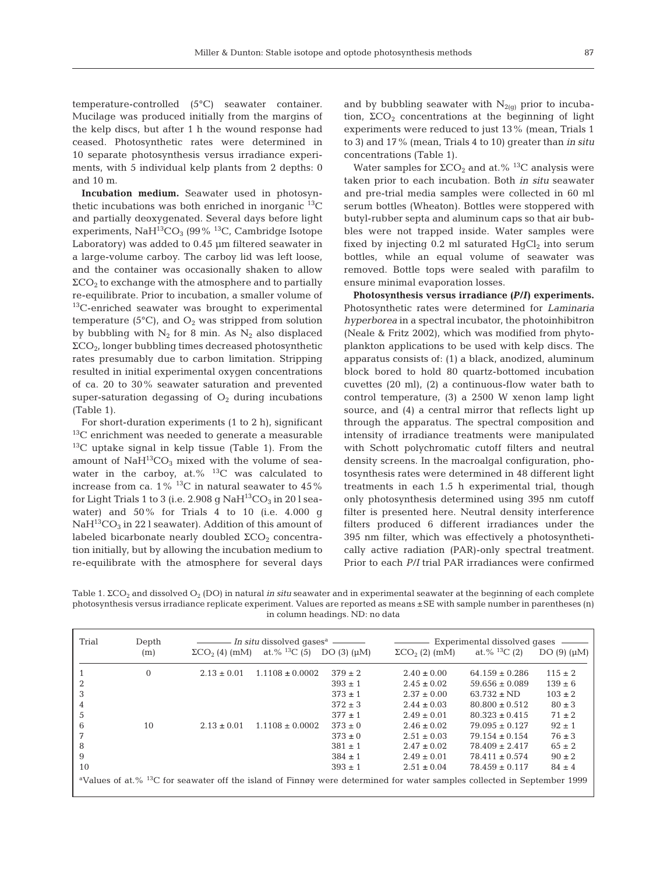temperature-controlled (5°C) seawater container. Mucilage was produced initially from the margins of the kelp discs, but after 1 h the wound response had ceased. Photosynthetic rates were determined in 10 separate photosynthesis versus irradiance experiments, with 5 individual kelp plants from 2 depths: 0 and 10 m.

**Incubation medium.** Seawater used in photosynthetic incubations was both enriched in inorganic  $^{13}C$ and partially deoxygenated. Several days before light experiments,  $\text{NaH}^{13} \text{CO}_3$  (99% <sup>13</sup>C, Cambridge Isotope Laboratory) was added to 0.45 μm filtered seawater in a large-volume carboy. The carboy lid was left loose, and the container was occasionally shaken to allow  $\Sigma$ CO<sub>2</sub> to exchange with the atmosphere and to partially re-equilibrate. Prior to incubation, a smaller volume of 13C-enriched seawater was brought to experimental temperature (5 $^{\circ}$ C), and  $O_2$  was stripped from solution by bubbling with  $N_2$  for 8 min. As  $N_2$  also displaced ΣCO2, longer bubbling times decreased photosynthetic rates presumably due to carbon limitation. Stripping resulted in initial experimental oxygen concentrations of ca. 20 to 30% seawater saturation and prevented super-saturation degassing of  $O<sub>2</sub>$  during incubations (Table 1).

For short-duration experiments (1 to 2 h), significant  $13^{\circ}$ C enrichment was needed to generate a measurable  $13C$  uptake signal in kelp tissue (Table 1). From the amount of  $\text{NaH}^{13}\text{CO}_3$  mixed with the volume of seawater in the carboy, at.%  $^{13}$ C was calculated to increase from ca.  $1\%$  <sup>13</sup>C in natural seawater to 45% for Light Trials 1 to 3 (i.e. 2.908 g  $\text{NaH}^{13}\text{CO}_3$  in 20 l seawater) and 50% for Trials 4 to 10 (i.e. 4.000 g  $NaH^{13}CO<sub>3</sub>$  in 22 l seawater). Addition of this amount of labeled bicarbonate nearly doubled  $\Sigma CO<sub>2</sub>$  concentration initially, but by allowing the incubation medium to re-equilibrate with the atmosphere for several days and by bubbling seawater with  $N_{2(q)}$  prior to incubation,  $\Sigma$ CO<sub>2</sub> concentrations at the beginning of light experiments were reduced to just 13% (mean, Trials 1 to 3) and 17% (mean, Trials 4 to 10) greater than *in situ* concentrations (Table 1).

Water samples for  $\Sigma$ CO<sub>2</sub> and at.% <sup>13</sup>C analysis were taken prior to each incubation. Both *in situ* seawater and pre-trial media samples were collected in 60 ml serum bottles (Wheaton). Bottles were stoppered with butyl-rubber septa and aluminum caps so that air bubbles were not trapped inside. Water samples were fixed by injecting  $0.2$  ml saturated  $HgCl<sub>2</sub>$  into serum bottles, while an equal volume of seawater was removed. Bottle tops were sealed with parafilm to ensure minimal evaporation losses.

**Photosynthesis versus irradiance** *(P/I)* **experiments.** Photosynthetic rates were determined for *Laminaria hyperborea* in a spectral incubator, the photoinhibitron (Neale & Fritz 2002), which was modified from phytoplankton applications to be used with kelp discs. The apparatus consists of: (1) a black, anodized, aluminum block bored to hold 80 quartz-bottomed incubation cuvettes (20 ml), (2) a continuous-flow water bath to control temperature, (3) a 2500 W xenon lamp light source, and (4) a central mirror that reflects light up through the apparatus. The spectral composition and intensity of irradiance treatments were manipulated with Schott polychromatic cutoff filters and neutral density screens. In the macroalgal configuration, photosynthesis rates were determined in 48 different light treatments in each 1.5 h experimental trial, though only photosynthesis determined using 395 nm cutoff filter is presented here. Neutral density interference filters produced 6 different irradiances under the 395 nm filter, which was effectively a photosynthetically active radiation (PAR)-only spectral treatment. Prior to each *P/I* trial PAR irradiances were confirmed

Table 1. ΣCO2 and dissolved O2 (DO) in natural *in situ* seawater and in experimental seawater at the beginning of each complete photosynthesis versus irradiance replicate experiment. Values are reported as means ±SE with sample number in parentheses (n) in column headings. ND: no data

| Trial                                                                                                                                           | Depth    | <i>– In situ</i> dissolved qases <sup>a</sup> ——— |                          |                | Experimental dissolved gases      |                          |                    |  |  |
|-------------------------------------------------------------------------------------------------------------------------------------------------|----------|---------------------------------------------------|--------------------------|----------------|-----------------------------------|--------------------------|--------------------|--|--|
|                                                                                                                                                 | (m)      | $\Sigma$ CO <sub>2</sub> (4) (mM)                 | at.% <sup>13</sup> C (5) | $DO(3)(\mu M)$ | $\Sigma$ CO <sub>2</sub> (2) (mM) | at.% <sup>13</sup> C (2) | DO $(9)$ $(\mu M)$ |  |  |
|                                                                                                                                                 | $\Omega$ | $2.13 \pm 0.01$                                   | $1.1108 \pm 0.0002$      | $379 \pm 2$    | $2.40 \pm 0.00$                   | $64.159 \pm 0.286$       | $115 \pm 2$        |  |  |
| 2                                                                                                                                               |          |                                                   |                          | $393 \pm 1$    | $2.45 \pm 0.02$                   | $59.656 \pm 0.089$       | $139 \pm 6$        |  |  |
| 3                                                                                                                                               |          |                                                   |                          | $373 \pm 1$    | $2.37 \pm 0.00$                   | $63.732 \pm N D$         | $103 \pm 2$        |  |  |
| 4                                                                                                                                               |          |                                                   |                          | $372 \pm 3$    | $2.44 \pm 0.03$                   | $80.800 \pm 0.512$       | $80 \pm 3$         |  |  |
| 5                                                                                                                                               |          |                                                   |                          | $377 \pm 1$    | $2.49 \pm 0.01$                   | $80.323 \pm 0.415$       | $71 \pm 2$         |  |  |
| 6                                                                                                                                               | 10       | $2.13 \pm 0.01$                                   | $1.1108 \pm 0.0002$      | $373 \pm 0$    | $2.46 \pm 0.02$                   | $79.095 + 0.127$         | $92 \pm 1$         |  |  |
| 7                                                                                                                                               |          |                                                   |                          | $373 \pm 0$    | $2.51 \pm 0.03$                   | $79.154 \pm 0.154$       | $76 \pm 3$         |  |  |
| 8                                                                                                                                               |          |                                                   |                          | $381 \pm 1$    | $2.47 \pm 0.02$                   | $78.409 \pm 2.417$       | $65 \pm 2$         |  |  |
| 9                                                                                                                                               |          |                                                   |                          | $384 \pm 1$    | $2.49 \pm 0.01$                   | $78.411 \pm 0.574$       | $90 \pm 2$         |  |  |
| 10                                                                                                                                              |          |                                                   |                          | $393 \pm 1$    | $2.51 \pm 0.04$                   | $78.459 \pm 0.117$       | $84 \pm 4$         |  |  |
| <sup>a</sup> Values of at.% <sup>13</sup> C for seawater off the island of Finnøy were determined for water samples collected in September 1999 |          |                                                   |                          |                |                                   |                          |                    |  |  |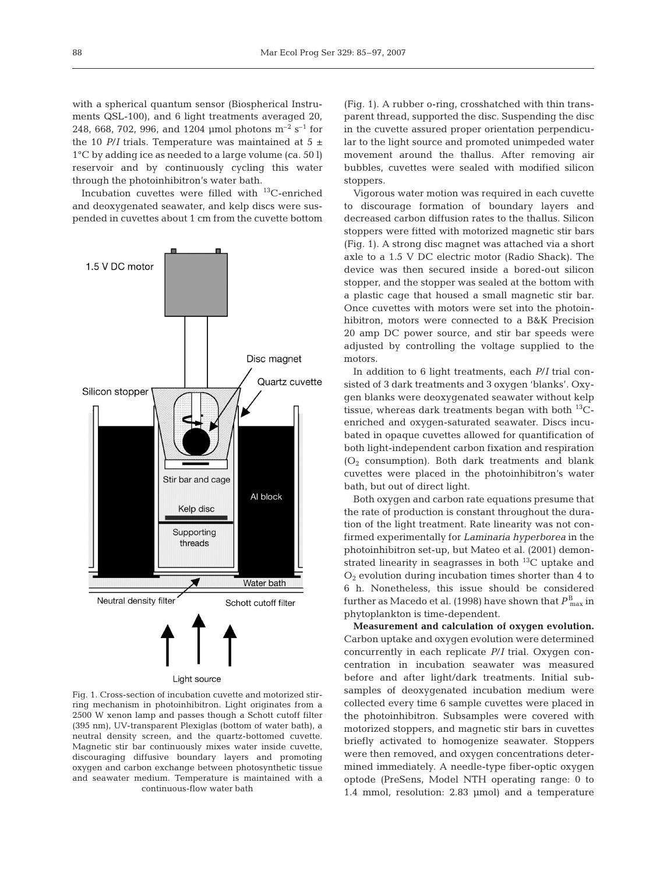with a spherical quantum sensor (Biospherical Instruments QSL-100), and 6 light treatments averaged 20, 248, 668, 702, 996, and 1204 umol photons  $m^{-2}$  s<sup>-1</sup> for the 10  $P/I$  trials. Temperature was maintained at 5  $\pm$ 1°C by adding ice as needed to a large volume (ca. 50 l) reservoir and by continuously cycling this water through the photoinhibitron's water bath.

Incubation cuvettes were filled with 13C-enriched and deoxygenated seawater, and kelp discs were suspended in cuvettes about 1 cm from the cuvette bottom



Fig. 1. Cross-section of incubation cuvette and motorized stirring mechanism in photoinhibitron. Light originates from a 2500 W xenon lamp and passes though a Schott cutoff filter (395 nm), UV-transparent Plexiglas (bottom of water bath), a neutral density screen, and the quartz-bottomed cuvette. Magnetic stir bar continuously mixes water inside cuvette, discouraging diffusive boundary layers and promoting oxygen and carbon exchange between photosynthetic tissue and seawater medium. Temperature is maintained with a continuous-flow water bath

(Fig. 1). A rubber o-ring, crosshatched with thin transparent thread, supported the disc. Suspending the disc in the cuvette assured proper orientation perpendicular to the light source and promoted unimpeded water movement around the thallus. After removing air bubbles, cuvettes were sealed with modified silicon stoppers.

Vigorous water motion was required in each cuvette to discourage formation of boundary layers and decreased carbon diffusion rates to the thallus. Silicon stoppers were fitted with motorized magnetic stir bars (Fig. 1). A strong disc magnet was attached via a short axle to a 1.5 V DC electric motor (Radio Shack). The device was then secured inside a bored-out silicon stopper, and the stopper was sealed at the bottom with a plastic cage that housed a small magnetic stir bar. Once cuvettes with motors were set into the photoinhibitron, motors were connected to a B&K Precision 20 amp DC power source, and stir bar speeds were adjusted by controlling the voltage supplied to the motors.

In addition to 6 light treatments, each *P*/*I* trial consisted of 3 dark treatments and 3 oxygen 'blanks'. Oxygen blanks were deoxygenated seawater without kelp tissue, whereas dark treatments began with both  $^{13}C$ enriched and oxygen-saturated seawater. Discs incubated in opaque cuvettes allowed for quantification of both light-independent carbon fixation and respiration  $(O<sub>2</sub>$  consumption). Both dark treatments and blank cuvettes were placed in the photoinhibitron's water bath, but out of direct light.

Both oxygen and carbon rate equations presume that the rate of production is constant throughout the duration of the light treatment. Rate linearity was not confirmed experimentally for *Laminaria hyperborea* in the photoinhibitron set-up, but Mateo et al. (2001) demonstrated linearity in seagrasses in both  $^{13}$ C uptake and  $O<sub>2</sub>$  evolution during incubation times shorter than 4 to 6 h. Nonetheless, this issue should be considered further as Macedo et al. (1998) have shown that  $P_{\; \rm max}^{\rm B}$  in phytoplankton is time-dependent.

**Measurement and calculation of oxygen evolution.** Carbon uptake and oxygen evolution were determined concurrently in each replicate *P*/*I* trial. Oxygen concentration in incubation seawater was measured before and after light/dark treatments. Initial subsamples of deoxygenated incubation medium were collected every time 6 sample cuvettes were placed in the photoinhibitron. Subsamples were covered with motorized stoppers, and magnetic stir bars in cuvettes briefly activated to homogenize seawater. Stoppers were then removed, and oxygen concentrations determined immediately. A needle-type fiber-optic oxygen optode (PreSens, Model NTH operating range: 0 to 1.4 mmol, resolution: 2.83 μmol) and a temperature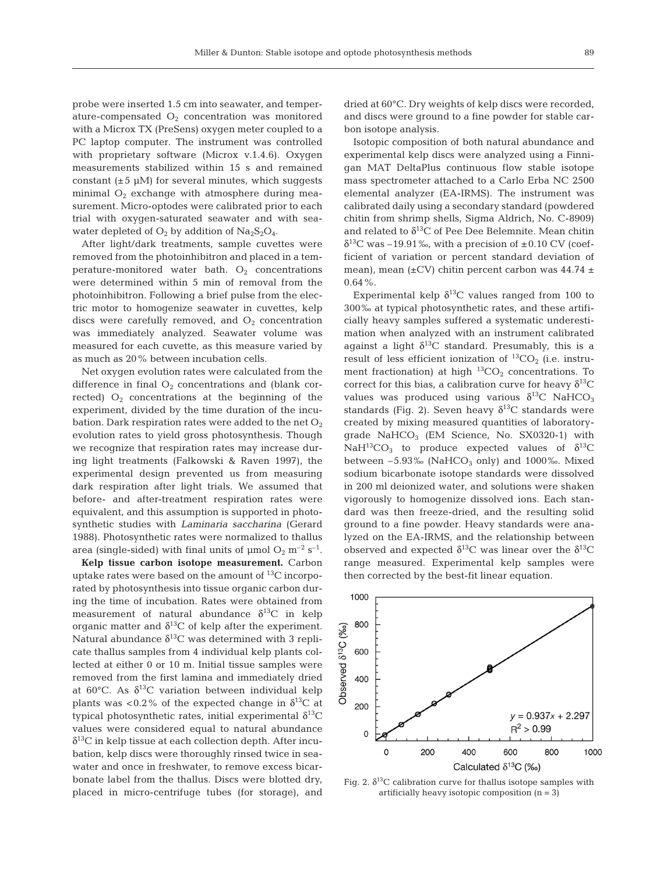probe were inserted 1.5 cm into seawater, and temperature-compensated  $O<sub>2</sub>$  concentration was monitored with a Microx TX (PreSens) oxygen meter coupled to a PC laptop computer. The instrument was controlled with proprietary software (Microx v.1.4.6). Oxygen measurements stabilized within 15 s and remained constant  $(\pm 5 \mu M)$  for several minutes, which suggests minimal  $O_2$  exchange with atmosphere during measurement. Micro-optodes were calibrated prior to each trial with oxygen-saturated seawater and with seawater depleted of  $O_2$  by addition of  $Na_2S_2O_4$ .

After light/dark treatments, sample cuvettes were removed from the photoinhibitron and placed in a temperature-monitored water bath.  $O_2$  concentrations were determined within 5 min of removal from the photoinhibitron. Following a brief pulse from the electric motor to homogenize seawater in cuvettes, kelp discs were carefully removed, and  $O_2$  concentration was immediately analyzed. Seawater volume was measured for each cuvette, as this measure varied by as much as 20% between incubation cells.

Net oxygen evolution rates were calculated from the difference in final  $O_2$  concentrations and (blank corrected)  $O_2$  concentrations at the beginning of the experiment, divided by the time duration of the incubation. Dark respiration rates were added to the net  $O_2$ evolution rates to yield gross photosynthesis. Though we recognize that respiration rates may increase during light treatments (Falkowski & Raven 1997), the experimental design prevented us from measuring dark respiration after light trials. We assumed that before- and after-treatment respiration rates were equivalent, and this assumption is supported in photosynthetic studies with *Laminaria saccharina* (Gerard 1988). Photosynthetic rates were normalized to thallus area (single-sided) with final units of  $\mu$ mol O<sub>2</sub> m<sup>-2</sup> s<sup>-1</sup>.

**Kelp tissue carbon isotope measurement.** Carbon uptake rates were based on the amount of 13C incorporated by photosynthesis into tissue organic carbon during the time of incubation. Rates were obtained from measurement of natural abundance  $\delta^{13}$ C in kelp organic matter and  $\delta^{13}$ C of kelp after the experiment. Natural abundance  $\delta^{13}$ C was determined with 3 replicate thallus samples from 4 individual kelp plants collected at either 0 or 10 m. Initial tissue samples were removed from the first lamina and immediately dried at 60 $^{\circ}$ C. As  $\delta^{13}$ C variation between individual kelp plants was <0.2% of the expected change in  $\delta^{13}C$  at typical photosynthetic rates, initial experimental  $δ<sup>13</sup>$ C values were considered equal to natural abundance  $\delta^{13}$ C in kelp tissue at each collection depth. After incubation, kelp discs were thoroughly rinsed twice in seawater and once in freshwater, to remove excess bicarbonate label from the thallus. Discs were blotted dry, placed in micro-centrifuge tubes (for storage), and

dried at 60°C. Dry weights of kelp discs were recorded, and discs were ground to a fine powder for stable carbon isotope analysis.

Isotopic composition of both natural abundance and experimental kelp discs were analyzed using a Finnigan MAT DeltaPlus continuous flow stable isotope mass spectrometer attached to a Carlo Erba NC 2500 elemental analyzer (EA-IRMS). The instrument was calibrated daily using a secondary standard (powdered chitin from shrimp shells, Sigma Aldrich, No. C-8909) and related to  $\delta^{13}C$  of Pee Dee Belemnite. Mean chitin  $\delta^{13}$ C was –19.91‰, with a precision of ±0.10 CV (coefficient of variation or percent standard deviation of mean), mean ( $\pm$ CV) chitin percent carbon was 44.74  $\pm$ 0.64%.

Experimental kelp  $\delta^{13}$ C values ranged from 100 to 300‰ at typical photosynthetic rates, and these artificially heavy samples suffered a systematic underestimation when analyzed with an instrument calibrated against a light  $\delta^{13}$ C standard. Presumably, this is a result of less efficient ionization of  ${}^{13}CO_{2}$  (i.e. instrument fractionation) at high  ${}^{13}CO_2$  concentrations. To correct for this bias, a calibration curve for heavy  $\delta^{13}C$ values was produced using various  $\delta^{13}$ C NaHCO<sub>3</sub> standards (Fig. 2). Seven heavy  $\delta^{13}$ C standards were created by mixing measured quantities of laboratorygrade  $NAHCO<sub>3</sub>$  (EM Science, No. SX0320-1) with NaH<sup>13</sup>CO<sub>3</sub> to produce expected values of  $\delta^{13}$ C between  $-5.93\%$  (NaHCO<sub>3</sub> only) and 1000‰. Mixed sodium bicarbonate isotope standards were dissolved in 200 ml deionized water, and solutions were shaken vigorously to homogenize dissolved ions. Each standard was then freeze-dried, and the resulting solid ground to a fine powder. Heavy standards were analyzed on the EA-IRMS, and the relationship between observed and expected  $\delta^{13}$ C was linear over the  $\delta^{13}$ C range measured. Experimental kelp samples were then corrected by the best-fit linear equation.



Fig. 2.  $\delta^{13}$ C calibration curve for thallus isotope samples with artificially heavy isotopic composition  $(n = 3)$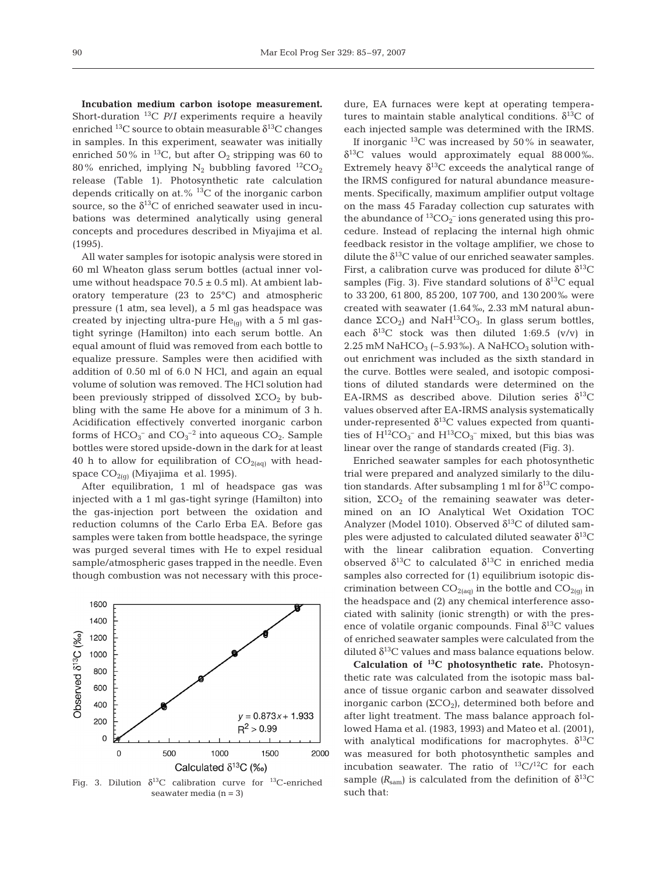**Incubation medium carbon isotope measurement.** Short-duration 13C *P*/*I* experiments require a heavily enriched  $^{13}$ C source to obtain measurable  $\delta^{13}$ C changes in samples. In this experiment, seawater was initially enriched 50% in <sup>13</sup>C, but after  $O_2$  stripping was 60 to 80% enriched, implying  $N_2$  bubbling favored  $^{12}CO_2$ release (Table 1). Photosynthetic rate calculation depends critically on at.% 13C of the inorganic carbon source, so the  $\delta^{13}$ C of enriched seawater used in incubations was determined analytically using general concepts and procedures described in Miyajima et al. (1995).

All water samples for isotopic analysis were stored in 60 ml Wheaton glass serum bottles (actual inner volume without headspace  $70.5 \pm 0.5$  ml). At ambient laboratory temperature (23 to 25°C) and atmospheric pressure (1 atm, sea level), a 5 ml gas headspace was created by injecting ultra-pure  $He_{(q)}$  with a 5 ml gastight syringe (Hamilton) into each serum bottle. An equal amount of fluid was removed from each bottle to equalize pressure. Samples were then acidified with addition of 0.50 ml of 6.0 N HCl, and again an equal volume of solution was removed. The HCl solution had been previously stripped of dissolved  $\Sigma$ CO<sub>2</sub> by bubbling with the same He above for a minimum of 3 h. Acidification effectively converted inorganic carbon forms of  $\mathrm{HCO_3}^-$  and  $\mathrm{CO_3}^{-2}$  into aqueous  $\mathrm{CO_2.}$  Sample bottles were stored upside-down in the dark for at least 40 h to allow for equilibration of  $CO<sub>2(aq)</sub>$  with headspace  $CO<sub>2(G)</sub>$  (Miyajima et al. 1995).

After equilibration, 1 ml of headspace gas was injected with a 1 ml gas-tight syringe (Hamilton) into the gas-injection port between the oxidation and reduction columns of the Carlo Erba EA. Before gas samples were taken from bottle headspace, the syringe was purged several times with He to expel residual sample/atmospheric gases trapped in the needle. Even though combustion was not necessary with this proce-



Fig. 3. Dilution  $\delta^{13}C$  calibration curve for <sup>13</sup>C-enriched seawater media  $(n = 3)$ 

dure, EA furnaces were kept at operating temperatures to maintain stable analytical conditions.  $\delta^{13}C$  of each injected sample was determined with the IRMS.

If inorganic  $^{13}$ C was increased by 50% in seawater,  $\delta^{13}$ C values would approximately equal 88000‰. Extremely heavy  $\delta^{13}$ C exceeds the analytical range of the IRMS configured for natural abundance measurements. Specifically, maximum amplifier output voltage on the mass 45 Faraday collection cup saturates with the abundance of  ${}^{13}CO_2^-$  ions generated using this procedure. Instead of replacing the internal high ohmic feedback resistor in the voltage amplifier, we chose to dilute the  $\delta^{13}$ C value of our enriched seawater samples. First, a calibration curve was produced for dilute  $\delta^{13}C$ samples (Fig. 3). Five standard solutions of  $\delta^{13}C$  equal to 33 200, 61 800, 85 200, 107 700, and 130 200‰ were created with seawater (1.64‰, 2.33 mM natural abundance  $\Sigma$ CO<sub>2</sub>) and NaH<sup>13</sup>CO<sub>3</sub>. In glass serum bottles, each  $\delta^{13}$ C stock was then diluted 1:69.5 (v/v) in 2.25 mM NaHCO<sub>3</sub> ( $-5.93\%$ ). A NaHCO<sub>3</sub> solution without enrichment was included as the sixth standard in the curve. Bottles were sealed, and isotopic compositions of diluted standards were determined on the EA-IRMS as described above. Dilution series  $\delta^{13}C$ values observed after EA-IRMS analysis systematically under-represented  $\delta^{13}$ C values expected from quantities of  $H^{12}CO_3^-$  and  $H^{13}CO_3^-$  mixed, but this bias was linear over the range of standards created (Fig. 3).

Enriched seawater samples for each photosynthetic trial were prepared and analyzed similarly to the dilution standards. After subsampling 1 ml for  $\delta^{13}C$  composition,  $\Sigma$ CO<sub>2</sub> of the remaining seawater was determined on an IO Analytical Wet Oxidation TOC Analyzer (Model 1010). Observed  $\delta^{13}$ C of diluted samples were adjusted to calculated diluted seawater  $\delta^{13}C$ with the linear calibration equation. Converting observed  $\delta^{13}$ C to calculated  $\delta^{13}$ C in enriched media samples also corrected for (1) equilibrium isotopic discrimination between  $CO<sub>2(aq)</sub>$  in the bottle and  $CO<sub>2(g)</sub>$  in the headspace and (2) any chemical interference associated with salinity (ionic strength) or with the presence of volatile organic compounds. Final  $\delta^{13}$ C values of enriched seawater samples were calculated from the diluted  $\delta^{13}$ C values and mass balance equations below.

**Calculation of 13C photosynthetic rate.** Photosynthetic rate was calculated from the isotopic mass balance of tissue organic carbon and seawater dissolved inorganic carbon  $(2CO<sub>2</sub>)$ , determined both before and after light treatment. The mass balance approach followed Hama et al. (1983, 1993) and Mateo et al. (2001), with analytical modifications for macrophytes.  $\delta^{13}C$ was measured for both photosynthetic samples and incubation seawater. The ratio of  ${}^{13}C/{}^{12}C$  for each sample  $(R_{\text{sam}})$  is calculated from the definition of  $\delta^{13}C$ such that: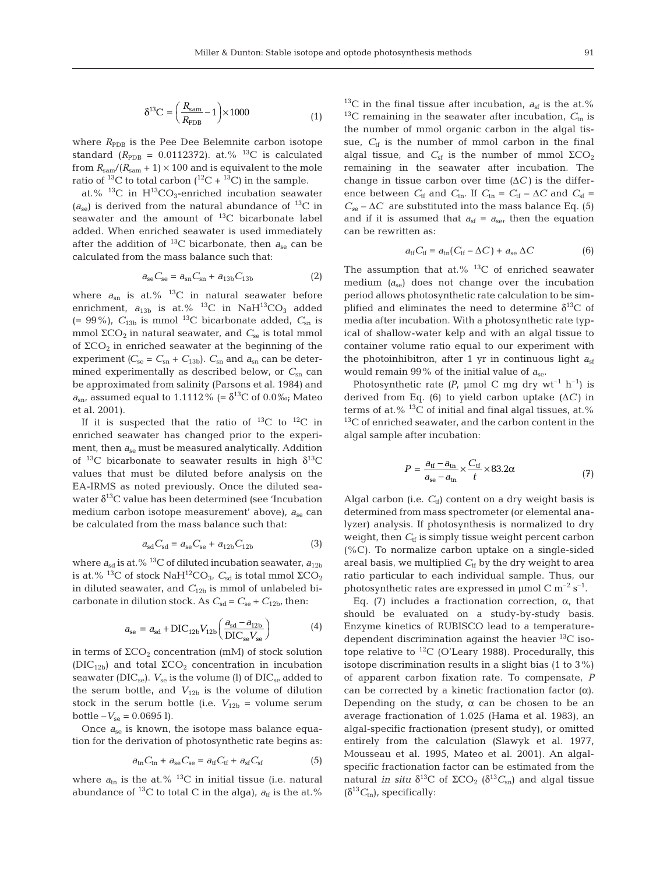$$
\delta^{13}C = \left(\frac{R_{\text{sam}}}{R_{\text{PDB}}} - 1\right) \times 1000\tag{1}
$$

where  $R_{\text{PDB}}$  is the Pee Dee Belemnite carbon isotope standard ( $R_{\text{PDB}}$  = 0.0112372). at.% <sup>13</sup>C is calculated from  $R_{\text{sam}}/(R_{\text{sam}} + 1) \times 100$  and is equivalent to the mole ratio of <sup>13</sup>C to total carbon (<sup>12</sup>C + <sup>13</sup>C) in the sample.

at.%  $^{13}$ C in H<sup>13</sup>CO<sub>3</sub>-enriched incubation seawater  $(a_{\rm se})$  is derived from the natural abundance of <sup>13</sup>C in seawater and the amount of <sup>13</sup>C bicarbonate label added. When enriched seawater is used immediately after the addition of <sup>13</sup>C bicarbonate, then  $a_{se}$  can be calculated from the mass balance such that:

$$
a_{\rm se}C_{\rm se} = a_{\rm sn}C_{\rm sn} + a_{13b}C_{13b} \tag{2}
$$

where  $a_{\rm sn}$  is at.% <sup>13</sup>C in natural seawater before enrichment,  $a_{13b}$  is at.% <sup>13</sup>C in NaH<sup>13</sup>CO<sub>3</sub> added  $(= 99\%)$ ,  $C_{13b}$  is mmol<sup>13</sup>C bicarbonate added,  $C_{sn}$  is mmol  $\Sigma$ CO<sub>2</sub> in natural seawater, and  $C_{se}$  is total mmol of  $\Sigma$ CO<sub>2</sub> in enriched seawater at the beginning of the experiment  $(C_{se} = C_{sn} + C_{13b})$ .  $C_{sn}$  and  $a_{sn}$  can be determined experimentally as described below, or  $C_{\rm sn}$  can be approximated from salinity (Parsons et al. 1984) and  $a_{\rm sn}$ , assumed equal to 1.1112% (= δ<sup>13</sup>C of 0.0‰; Mateo et al. 2001).

If it is suspected that the ratio of  $^{13}C$  to  $^{12}C$  in enriched seawater has changed prior to the experiment, then *a*se must be measured analytically. Addition of <sup>13</sup>C bicarbonate to seawater results in high  $\delta^{13}C$ values that must be diluted before analysis on the EA-IRMS as noted previously. Once the diluted seawater  $\delta^{13}$ C value has been determined (see 'Incubation medium carbon isotope measurement' above), *a*se can be calculated from the mass balance such that:

$$
a_{sd}C_{sd} = a_{se}C_{se} + a_{12b}C_{12b} \tag{3}
$$

where  $a_{sd}$  is at.% <sup>13</sup>C of diluted incubation seawater,  $a_{12b}$ is at.% <sup>13</sup>C of stock NaH<sup>12</sup>CO<sub>3</sub>,  $C_{sd}$  is total mmol  $\Sigma$ CO<sub>2</sub> in diluted seawater, and  $C_{12b}$  is mmol of unlabeled bicarbonate in dilution stock. As  $C_{sd} = C_{se} + C_{12b}$ , then:

$$
a_{\rm se} = a_{\rm sd} + \text{DIC}_{12b} V_{12b} \left( \frac{a_{\rm sd} - a_{12b}}{\text{DIC}_{\rm se} V_{\rm se}} \right) \tag{4}
$$

in terms of  $\Sigma$ CO<sub>2</sub> concentration (mM) of stock solution (DIC<sub>12b</sub>) and total  $\Sigma$ CO<sub>2</sub> concentration in incubation seawater (DIC<sub>se</sub>).  $V_{\text{se}}$  is the volume (l) of DIC<sub>se</sub> added to the serum bottle, and  $V_{12b}$  is the volume of dilution stock in the serum bottle (i.e.  $V_{12b}$  = volume serum  $bottle -V_{se} = 0.0695$ ].

Once  $a_{se}$  is known, the isotope mass balance equation for the derivation of photosynthetic rate begins as:

$$
a_{\text{tn}}C_{\text{tn}} + a_{\text{se}}C_{\text{se}} = a_{\text{tf}}C_{\text{tf}} + a_{\text{sf}}C_{\text{sf}}
$$
(5)

where  $a_{\text{tn}}$  is the at.% <sup>13</sup>C in initial tissue (i.e. natural abundance of <sup>13</sup>C to total C in the alga),  $a_{\text{tf}}$  is the at.%  $13C$  in the final tissue after incubation,  $a_{sf}$  is the at.%  $13C$  remaining in the seawater after incubation,  $C_{\text{tn}}$  is the number of mmol organic carbon in the algal tissue,  $C_{\text{tf}}$  is the number of mmol carbon in the final algal tissue, and  $C_{sf}$  is the number of mmol  $\Sigma$ CO<sub>2</sub> remaining in the seawater after incubation. The change in tissue carbon over time  $(\Delta C)$  is the difference between  $C_{\text{tf}}$  and  $C_{\text{tn}}$ . If  $C_{\text{tn}} = C_{\text{tf}} - \Delta C$  and  $C_{\text{sf}} =$  $C_{\text{se}} - \Delta C$  are substituted into the mass balance Eq. (5) and if it is assumed that  $a_{\text{sf}} = a_{\text{se}}$ , then the equation can be rewritten as:

$$
a_{\rm tf}C_{\rm tf} = a_{\rm tn}(C_{\rm tf} - \Delta C) + a_{\rm se} \Delta C \tag{6}
$$

The assumption that at.%  $^{13}$ C of enriched seawater medium  $(a_{\rm se})$  does not change over the incubation period allows photosynthetic rate calculation to be simplified and eliminates the need to determine  $\delta^{13}C$  of media after incubation. With a photosynthetic rate typical of shallow-water kelp and with an algal tissue to container volume ratio equal to our experiment with the photoinhibitron, after 1 yr in continuous light  $a_{sf}$ would remain 99% of the initial value of  $a_{\rm se}$ .

Photosynthetic rate  $(P, \text{µmol C mg dry wt}^{-1} \text{ h}^{-1})$  is derived from Eq. (6) to yield carbon uptake (Δ*C)* in terms of at. $%$ <sup>13</sup>C of initial and final algal tissues, at. $%$  $13C$  of enriched seawater, and the carbon content in the algal sample after incubation:

$$
P = \frac{a_{\text{tf}} - a_{\text{tn}}}{a_{\text{se}} - a_{\text{tn}}} \times \frac{C_{\text{tf}}}{t} \times 83.2\alpha
$$
 (7)

Algal carbon (i.e.  $C_{\text{tf}}$ ) content on a dry weight basis is determined from mass spectrometer (or elemental analyzer) analysis. If photosynthesis is normalized to dry weight, then  $C_{tf}$  is simply tissue weight percent carbon (%C). To normalize carbon uptake on a single-sided areal basis, we multiplied  $C_{\text{tf}}$  by the dry weight to area ratio particular to each individual sample. Thus, our photosynthetic rates are expressed in  $\mu$ mol C m<sup>-2</sup> s<sup>-1</sup>.

Eq. (7) includes a fractionation correction, α, that should be evaluated on a study-by-study basis. Enzyme kinetics of RUBISCO lead to a temperaturedependent discrimination against the heavier  $^{13}$ C isotope relative to  ${}^{12}C$  (O'Leary 1988). Procedurally, this isotope discrimination results in a slight bias (1 to 3%) of apparent carbon fixation rate. To compensate, *P* can be corrected by a kinetic fractionation factor (α). Depending on the study,  $\alpha$  can be chosen to be an average fractionation of 1.025 (Hama et al. 1983), an algal-specific fractionation (present study), or omitted entirely from the calculation (Slawyk et al. 1977, Mousseau et al. 1995, Mateo et al. 2001). An algalspecific fractionation factor can be estimated from the natural *in situ*  $\delta^{13}C$  of ΣCO<sub>2</sub> ( $\delta^{13}C_{sn}$ ) and algal tissue  $(\delta^{13}C_{\text{tn}})$ , specifically: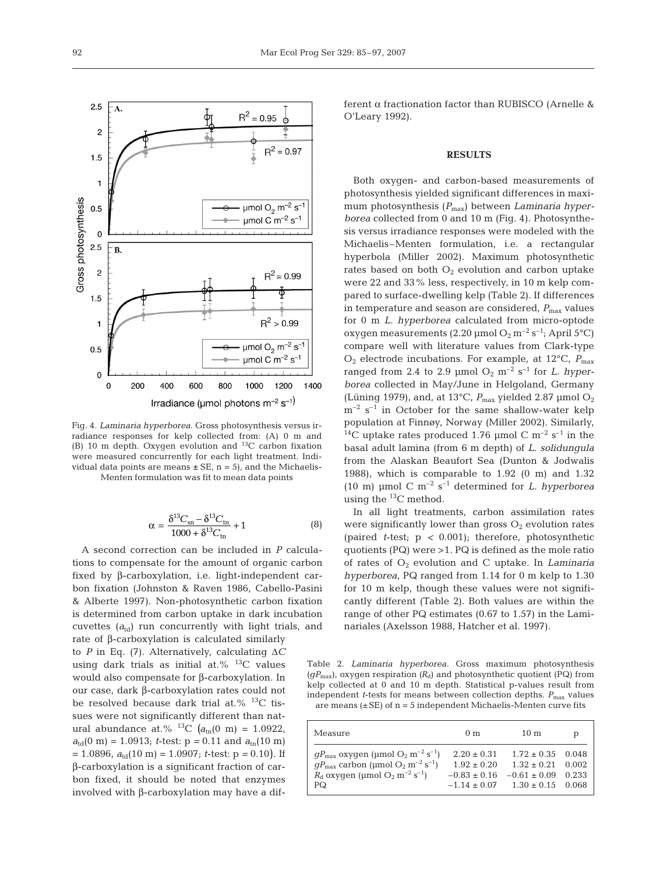

Fig. 4. *Laminaria hyperborea*. Gross photosynthesis versus irradiance responses for kelp collected from: (A) 0 m and (B) 10 m depth. Oxygen evolution and 13C carbon fixation were measured concurrently for each light treatment. Individual data points are means  $\pm$  SE, n = 5), and the Michaelis-Menten formulation was fit to mean data points

$$
\alpha = \frac{\delta^{13}C_{\rm sn} - \delta^{13}C_{\rm tn}}{1000 + \delta^{13}C_{\rm tn}} + 1
$$
 (8)

A second correction can be included in *P* calculations to compensate for the amount of organic carbon fixed by β-carboxylation, i.e. light-independent carbon fixation (Johnston & Raven 1986, Cabello-Pasini & Alberte 1997). Non-photosynthetic carbon fixation is determined from carbon uptake in dark incubation cuvettes (*a*td) run concurrently with light trials, and rate of β-carboxylation is calculated similarly to *P* in Eq. (7). Alternatively, calculating Δ*C* using dark trials as initial at.%  $^{13}$ C values would also compensate for β-carboxylation. In our case, dark β-carboxylation rates could not be resolved because dark trial at.% <sup>13</sup>C tissues were not significantly different than natural abundance at.% <sup>13</sup>C  $(a_{\text{tn}}(0 \text{ m}) = 1.0922,$  $a_{\text{td}}(0 \text{ m}) = 1.0913$ ; *t*-test:  $p = 0.11$  and  $a_{\text{tn}}(10 \text{ m})$  $= 1.0896$ ,  $a_{\text{td}}(10 \text{ m}) = 1.0907$ ; *t*-test:  $p = 0.10$ ). If β-carboxylation is a significant fraction of carbon fixed, it should be noted that enzymes involved with β-carboxylation may have a different α fractionation factor than RUBISCO (Arnelle & O'Leary 1992).

# **RESULTS**

Both oxygen- and carbon-based measurements of photosynthesis yielded significant differences in maximum photosynthesis ( $P_{\text{max}}$ ) between *Laminaria hyperborea* collected from 0 and 10 m (Fig. 4). Photosynthesis versus irradiance responses were modeled with the Michaelis–Menten formulation, i.e. a rectangular hyperbola (Miller 2002). Maximum photosynthetic rates based on both  $O_2$  evolution and carbon uptake were 22 and 33% less, respectively, in 10 m kelp compared to surface-dwelling kelp (Table 2). If differences in temperature and season are considered,  $P_{\text{max}}$  values for 0 m *L. hyperborea* calculated from micro-optode oxygen measurements (2.20  $\mu$ mol O<sub>2</sub> m<sup>-2</sup> s<sup>-1</sup>; April 5°C) compare well with literature values from Clark-type  $O_2$  electrode incubations. For example, at 12<sup>o</sup>C,  $P_{\text{max}}$ ranged from 2.4 to 2.9  $\mu$ mol O<sub>2</sub> m<sup>-2</sup> s<sup>-1</sup> for *L. hyperborea* collected in May/June in Helgoland, Germany (Lüning 1979), and, at 13°C,  $P_{\text{max}}$  yielded 2.87 μmol O<sub>2</sub>  $m^{-2}$  s<sup>-1</sup> in October for the same shallow-water kelp population at Finnøy, Norway (Miller 2002). Similarly, <sup>14</sup>C uptake rates produced 1.76 µmol C  $m^{-2}$  s<sup>-1</sup> in the basal adult lamina (from 6 m depth) of *L. solidungula* from the Alaskan Beaufort Sea (Dunton & Jodwalis 1988), which is comparable to  $1.92$  (0 m) and  $1.32$ (10 m) µmol C  $m^{-2}$  s<sup>-1</sup> determined for *L. hyperborea* using the  $^{13}$ C method.

In all light treatments, carbon assimilation rates were significantly lower than gross  $O_2$  evolution rates (paired *t*-test; p *<* 0.001); therefore, photosynthetic quotients (PQ) were >1. PQ is defined as the mole ratio of rates of O2 evolution and C uptake. In *Laminaria hyperborea*, PQ ranged from 1.14 for 0 m kelp to 1.30 for 10 m kelp, though these values were not significantly different (Table 2). Both values are within the range of other PQ estimates (0.67 to 1.57) in the Laminariales (Axelsson 1988, Hatcher et al. 1997).

Table 2. *Laminaria hyperborea.* Gross maximum photosynthesis  $(gP_{\text{max}})$ , oxygen respiration  $(R_d)$  and photosynthetic quotient (PQ) from kelp collected at 0 and 10 m depth. Statistical p-values result from independent *t*-tests for means between collection depths.  $P_{\text{max}}$  values are means  $(\pm SE)$  of  $n = 5$  independent Michaelis-Menten curve fits

| Measure                                                                                                                                                                                                                                                | 0 <sub>m</sub>                                         | 10 <sub>m</sub>                                                                                                  | D |
|--------------------------------------------------------------------------------------------------------------------------------------------------------------------------------------------------------------------------------------------------------|--------------------------------------------------------|------------------------------------------------------------------------------------------------------------------|---|
| $gP_{\text{max}}$ oxygen (µmol O <sub>2</sub> m <sup>-2</sup> s <sup>-1</sup> )<br>$qP_{\text{max}}$ carbon (µmol O <sub>2</sub> m <sup>-2</sup> s <sup>-1</sup> )<br>$R_{\rm d}$ oxygen (µmol O <sub>2</sub> m <sup>-2</sup> s <sup>-1</sup> )<br>PQ. | $2.20 \pm 0.31$<br>$1.92 \pm 0.20$<br>$-0.83 \pm 0.16$ | $1.72 \pm 0.35$ 0.048<br>$1.32 + 0.21$ 0.002<br>$-0.61 \pm 0.09$ 0.233<br>$-1.14 \pm 0.07$ $1.30 \pm 0.15$ 0.068 |   |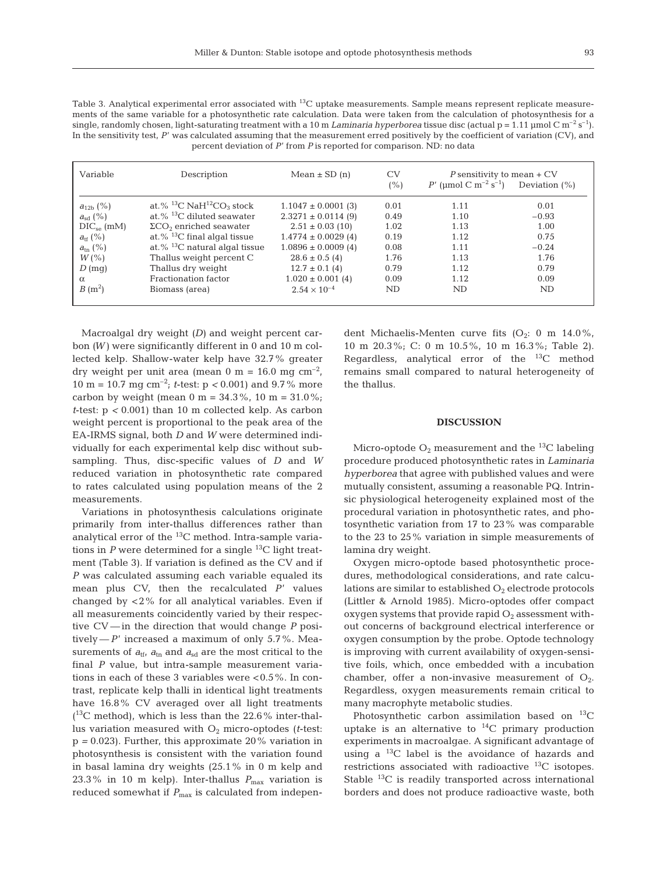Table 3. Analytical experimental error associated with <sup>13</sup>C uptake measurements. Sample means represent replicate measurements of the same variable for a photosynthetic rate calculation. Data were taken from the calculation of photosynthesis for a single, randomly chosen, light-saturating treatment with a 10 m *Laminaria hyperborea* tissue disc (actual  $p = 1.11$  µmol C m<sup>-2</sup> s<sup>-1</sup>). In the sensitivity test, P' was calculated assuming that the measurement erred positively by the coefficient of variation (CV), and percent deviation of *P*' from *P* is reported for comparison. ND: no data

| Variable         | Description                                | Mean $\pm$ SD (n)       | CV<br>(%) | P sensitivity to mean $+CV$<br>P' (µmol C m <sup>-2</sup> s <sup>-1</sup> ) | Deviation $(\%)$ |
|------------------|--------------------------------------------|-------------------------|-----------|-----------------------------------------------------------------------------|------------------|
| $a_{12b}$ (%)    | at.% $^{13}C$ NaH $^{12}CO_3$ stock        | $1.1047 \pm 0.0001$ (3) | 0.01      | 1.11                                                                        | 0.01             |
| $a_{sd}$ (%)     | at. $\%$ <sup>13</sup> C diluted seawater  | $2.3271 \pm 0.0114$ (9) | 0.49      | 1.10                                                                        | $-0.93$          |
| $DIC_{se}$ (mM)  | $\Sigma$ CO <sub>2</sub> enriched seawater | $2.51 \pm 0.03$ (10)    | 1.02      | 1.13                                                                        | 1.00             |
| $a_{\rm tf}$ (%) | at.% $^{13}$ C final algal tissue          | $1.4774 \pm 0.0029(4)$  | 0.19      | 1.12                                                                        | 0.75             |
| $a_{\rm tn}$ (%) | at.% $^{13}$ C natural algal tissue        | $1.0896 \pm 0.0009$ (4) | 0.08      | 1.11                                                                        | $-0.24$          |
| $W(\% )$         | Thallus weight percent C                   | $28.6 \pm 0.5$ (4)      | 1.76      | 1.13                                                                        | 1.76             |
| $D$ (mq)         | Thallus dry weight                         | $12.7 \pm 0.1$ (4)      | 0.79      | 1.12                                                                        | 0.79             |
| $\alpha$         | Fractionation factor                       | $1.020 \pm 0.001(4)$    | 0.09      | 1.12                                                                        | 0.09             |
| $B(m^2)$         | Biomass (area)                             | $2.54 \times 10^{-4}$   | ND.       | ND                                                                          | ND               |

Macroalgal dry weight *(D)* and weight percent carbon *(W)* were significantly different in 0 and 10 m collected kelp. Shallow-water kelp have 32.7% greater dry weight per unit area (mean 0 m = 16.0 mg  $\text{cm}^{-2}$ , 10 m = 10.7 mg cm–2; *t*-test: p *<* 0.001) and 9.7% more carbon by weight (mean  $0 \text{ m} = 34.3\%$ ,  $10 \text{ m} = 31.0\%$ ; *t*-test: p *<* 0.001) than 10 m collected kelp. As carbon weight percent is proportional to the peak area of the EA-IRMS signal, both *D* and *W* were determined individually for each experimental kelp disc without subsampling. Thus, disc-specific values of *D* and *W* reduced variation in photosynthetic rate compared to rates calculated using population means of the 2 measurements.

Variations in photosynthesis calculations originate primarily from inter-thallus differences rather than analytical error of the 13C method. Intra-sample variations in  $P$  were determined for a single  $^{13}$ C light treatment (Table 3). If variation is defined as the CV and if *P* was calculated assuming each variable equaled its mean plus CV, then the recalculated *P*' values changed by  $<$  2% for all analytical variables. Even if all measurements coincidently varied by their respective CV — in the direction that would change *P* positively —  $P'$  increased a maximum of only 5.7%. Measurements of  $a_{\text{tf}}$ ,  $a_{\text{tn}}$  and  $a_{\text{sd}}$  are the most critical to the final *P* value, but intra-sample measurement variations in each of these 3 variables were < 0.5%. In contrast, replicate kelp thalli in identical light treatments have 16.8% CV averaged over all light treatments  $(^{13}C$  method), which is less than the 22.6% inter-thallus variation measured with  $O_2$  micro-optodes ( $t$ -test: p *=* 0.023). Further, this approximate 20% variation in photosynthesis is consistent with the variation found in basal lamina dry weights (25.1% in 0 m kelp and 23.3% in 10 m kelp). Inter-thallus  $P_{\text{max}}$  variation is reduced somewhat if  $P_{\text{max}}$  is calculated from independent Michaelis-Menten curve fits  $(O_2: 0 \text{ m } 14.0\%$ , 10 m 20.3%; C: 0 m 10.5%, 10 m 16.3%; Table 2). Regardless, analytical error of the  $^{13}C$  method remains small compared to natural heterogeneity of the thallus.

### **DISCUSSION**

Micro-optode  $O_2$  measurement and the <sup>13</sup>C labeling procedure produced photosynthetic rates in *Laminaria hyperborea* that agree with published values and were mutually consistent, assuming a reasonable PQ. Intrinsic physiological heterogeneity explained most of the procedural variation in photosynthetic rates, and photosynthetic variation from 17 to 23% was comparable to the 23 to 25% variation in simple measurements of lamina dry weight.

Oxygen micro-optode based photosynthetic procedures, methodological considerations, and rate calculations are similar to established  $O_2$  electrode protocols (Littler & Arnold 1985). Micro-optodes offer compact oxygen systems that provide rapid  $O_2$  assessment without concerns of background electrical interference or oxygen consumption by the probe. Optode technology is improving with current availability of oxygen-sensitive foils, which, once embedded with a incubation chamber, offer a non-invasive measurement of  $O_2$ . Regardless, oxygen measurements remain critical to many macrophyte metabolic studies.

Photosynthetic carbon assimilation based on  $^{13}$ C uptake is an alternative to  $^{14}$ C primary production experiments in macroalgae. A significant advantage of using a  $^{13}$ C label is the avoidance of hazards and restrictions associated with radioactive  $^{13}$ C isotopes. Stable  $^{13}$ C is readily transported across international borders and does not produce radioactive waste, both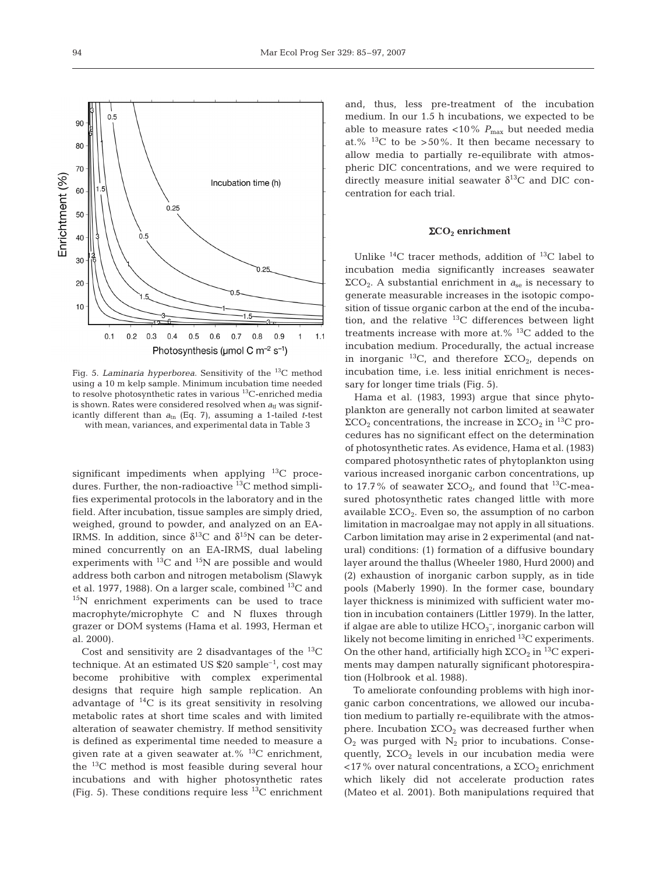

Fig. 5. *Laminaria hyperborea*. Sensitivity of the 13C method using a 10 m kelp sample. Minimum incubation time needed to resolve photosynthetic rates in various 13C-enriched media is shown. Rates were considered resolved when  $a_{\text{tf}}$  was significantly different than  $a_{\text{tn}}$  (Eq. 7), assuming a 1-tailed *t*-test with mean, variances, and experimental data in Table 3

significant impediments when applying  $^{13}$ C procedures. Further, the non-radioactive  ${}^{13}C$  method simplifies experimental protocols in the laboratory and in the field. After incubation, tissue samples are simply dried, weighed, ground to powder, and analyzed on an EA-IRMS. In addition, since  $\delta^{13}C$  and  $\delta^{15}N$  can be determined concurrently on an EA-IRMS, dual labeling experiments with  ${}^{13}C$  and  ${}^{15}N$  are possible and would address both carbon and nitrogen metabolism (Slawyk et al. 1977, 1988). On a larger scale, combined  $^{13}C$  and 15N enrichment experiments can be used to trace macrophyte/microphyte C and N fluxes through grazer or DOM systems (Hama et al. 1993, Herman et al. 2000).

Cost and sensitivity are 2 disadvantages of the  ${}^{13}$ C technique. At an estimated US  $$20$  sample<sup>-1</sup>, cost may become prohibitive with complex experimental designs that require high sample replication. An advantage of  $^{14}C$  is its great sensitivity in resolving metabolic rates at short time scales and with limited alteration of seawater chemistry. If method sensitivity is defined as experimental time needed to measure a given rate at a given seawater at. $\%$ <sup>13</sup>C enrichment, the 13C method is most feasible during several hour incubations and with higher photosynthetic rates (Fig. 5). These conditions require less  $^{13}$ C enrichment

and, thus, less pre-treatment of the incubation medium. In our 1.5 h incubations, we expected to be able to measure rates <10%  $P_{\rm max}$  but needed media at.%  $^{13}$ C to be > 50%. It then became necessary to allow media to partially re-equilibrate with atmospheric DIC concentrations, and we were required to directly measure initial seawater  $\delta^{13}$ C and DIC concentration for each trial.

## Σ**CO2 enrichment**

Unlike  ${}^{14}C$  tracer methods, addition of  ${}^{13}C$  label to incubation media significantly increases seawater  $ΣCO<sub>2</sub>$ . A substantial enrichment in  $a<sub>se</sub>$  is necessary to generate measurable increases in the isotopic composition of tissue organic carbon at the end of the incubation, and the relative  $^{13}$ C differences between light treatments increase with more at.% 13C added to the incubation medium. Procedurally, the actual increase in inorganic <sup>13</sup>C, and therefore  $\Sigma$ CO<sub>2</sub>, depends on incubation time, i.e. less initial enrichment is necessary for longer time trials (Fig. 5).

Hama et al. (1983, 1993) argue that since phytoplankton are generally not carbon limited at seawater  $\Sigma$ CO<sub>2</sub> concentrations, the increase in  $\Sigma$ CO<sub>2</sub> in <sup>13</sup>C procedures has no significant effect on the determination of photosynthetic rates. As evidence, Hama et al. (1983) compared photosynthetic rates of phytoplankton using various increased inorganic carbon concentrations, up to 17.7% of seawater  $\Sigma$ CO<sub>2</sub>, and found that <sup>13</sup>C-measured photosynthetic rates changed little with more available  $\Sigma$ CO<sub>2</sub>. Even so, the assumption of no carbon limitation in macroalgae may not apply in all situations. Carbon limitation may arise in 2 experimental (and natural) conditions: (1) formation of a diffusive boundary layer around the thallus (Wheeler 1980, Hurd 2000) and (2) exhaustion of inorganic carbon supply, as in tide pools (Maberly 1990). In the former case, boundary layer thickness is minimized with sufficient water motion in incubation containers (Littler 1979). In the latter, if algae are able to utilize  $\text{HCO}_3^-$ , inorganic carbon will likely not become limiting in enriched  $^{13}C$  experiments. On the other hand, artificially high  $\Sigma$ CO<sub>2</sub> in <sup>13</sup>C experiments may dampen naturally significant photorespiration (Holbrook et al. 1988).

To ameliorate confounding problems with high inorganic carbon concentrations, we allowed our incubation medium to partially re-equilibrate with the atmosphere. Incubation  $\Sigma$ CO<sub>2</sub> was decreased further when  $O<sub>2</sub>$  was purged with  $N<sub>2</sub>$  prior to incubations. Consequently,  $\Sigma$ CO<sub>2</sub> levels in our incubation media were  $17\%$  over natural concentrations, a ΣCO<sub>2</sub> enrichment which likely did not accelerate production rates (Mateo et al. 2001). Both manipulations required that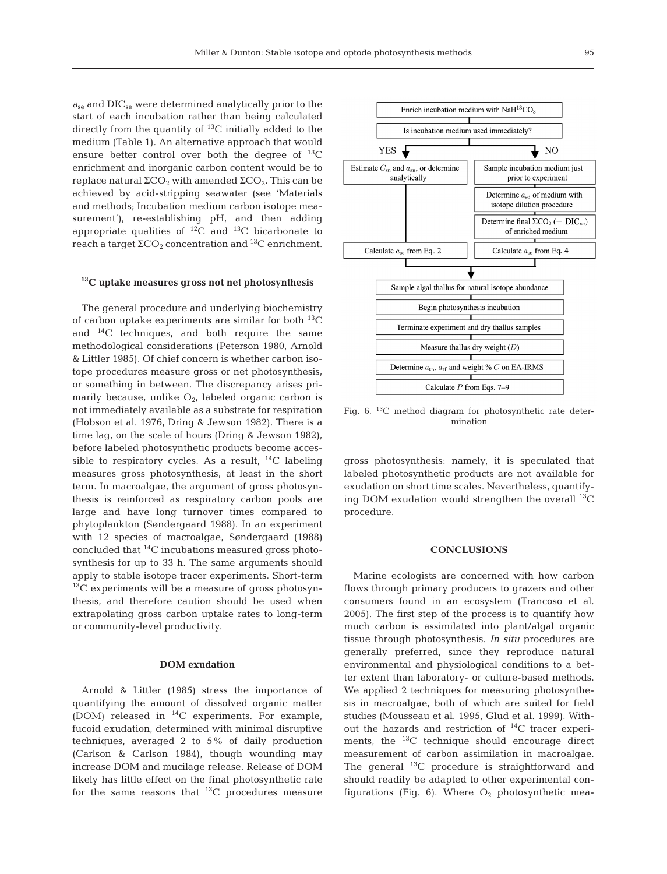$a_{\rm se}$  and DIC<sub>se</sub> were determined analytically prior to the start of each incubation rather than being calculated directly from the quantity of  $^{13}$ C initially added to the medium (Table 1). An alternative approach that would ensure better control over both the degree of  $^{13}C$ enrichment and inorganic carbon content would be to replace natural  $\Sigma$ CO<sub>2</sub> with amended  $\Sigma$ CO<sub>2</sub>. This can be achieved by acid-stripping seawater (see 'Materials and methods; Incubation medium carbon isotope measurement'), re-establishing pH, and then adding appropriate qualities of  ${}^{12}C$  and  ${}^{13}C$  bicarbonate to reach a target  $\Sigma$ CO<sub>2</sub> concentration and <sup>13</sup>C enrichment.

# **13C uptake measures gross not net photosynthesis**

The general procedure and underlying biochemistry of carbon uptake experiments are similar for both  $^{13}C$ and  $^{14}$ C techniques, and both require the same methodological considerations (Peterson 1980, Arnold & Littler 1985). Of chief concern is whether carbon isotope procedures measure gross or net photosynthesis, or something in between. The discrepancy arises primarily because, unlike  $O<sub>2</sub>$ , labeled organic carbon is not immediately available as a substrate for respiration (Hobson et al. 1976, Dring & Jewson 1982). There is a time lag, on the scale of hours (Dring & Jewson 1982), before labeled photosynthetic products become accessible to respiratory cycles. As a result,  $^{14}C$  labeling measures gross photosynthesis, at least in the short term. In macroalgae, the argument of gross photosynthesis is reinforced as respiratory carbon pools are large and have long turnover times compared to phytoplankton (Søndergaard 1988). In an experiment with 12 species of macroalgae, Søndergaard (1988) concluded that 14C incubations measured gross photosynthesis for up to 33 h. The same arguments should apply to stable isotope tracer experiments. Short-term  $13C$  experiments will be a measure of gross photosynthesis, and therefore caution should be used when extrapolating gross carbon uptake rates to long-term or community-level productivity.

#### **DOM exudation**

Arnold & Littler (1985) stress the importance of quantifying the amount of dissolved organic matter (DOM) released in 14C experiments. For example, fucoid exudation, determined with minimal disruptive techniques, averaged 2 to 5% of daily production (Carlson & Carlson 1984), though wounding may increase DOM and mucilage release. Release of DOM likely has little effect on the final photosynthetic rate for the same reasons that  $^{13}C$  procedures measure



Fig. 6.  $^{13}$ C method diagram for photosynthetic rate determination

gross photosynthesis: namely, it is speculated that labeled photosynthetic products are not available for exudation on short time scales. Nevertheless, quantifying DOM exudation would strengthen the overall  $^{13}C$ procedure.

#### **CONCLUSIONS**

Marine ecologists are concerned with how carbon flows through primary producers to grazers and other consumers found in an ecosystem (Trancoso et al. 2005). The first step of the process is to quantify how much carbon is assimilated into plant/algal organic tissue through photosynthesis. *In situ* procedures are generally preferred, since they reproduce natural environmental and physiological conditions to a better extent than laboratory- or culture-based methods. We applied 2 techniques for measuring photosynthesis in macroalgae, both of which are suited for field studies (Mousseau et al. 1995, Glud et al. 1999). Without the hazards and restriction of  $^{14}$ C tracer experiments, the  ${}^{13}C$  technique should encourage direct measurement of carbon assimilation in macroalgae. The general  $^{13}$ C procedure is straightforward and should readily be adapted to other experimental configurations (Fig. 6). Where  $O_2$  photosynthetic mea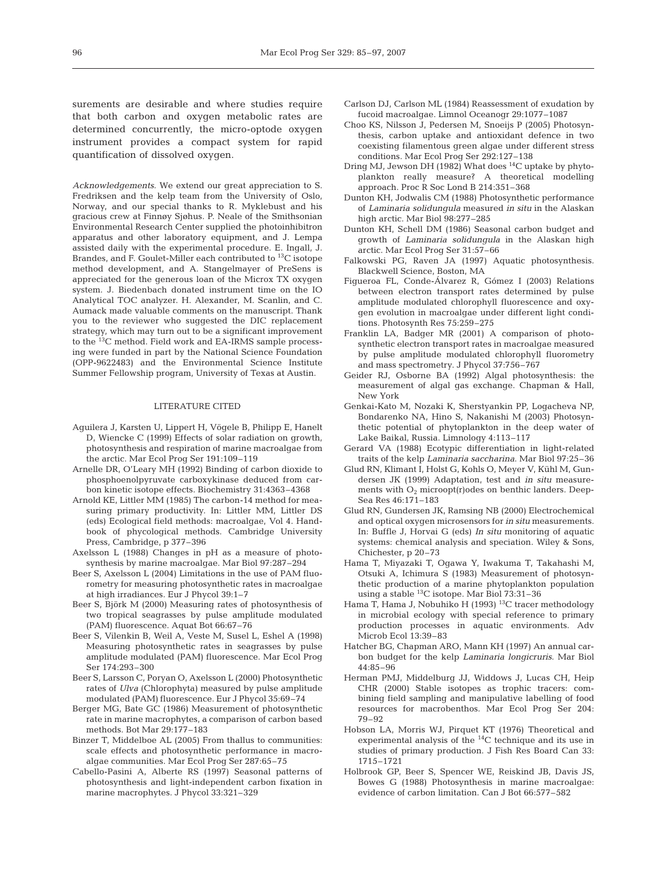surements are desirable and where studies require that both carbon and oxygen metabolic rates are determined concurrently, the micro-optode oxygen instrument provides a compact system for rapid quantification of dissolved oxygen.

Acknowledgements. We extend our great appreciation to S. Fredriksen and the kelp team from the University of Oslo, Norway, and our special thanks to R. Myklebust and his gracious crew at Finnøy Sjøhus. P. Neale of the Smithsonian Environmental Research Center supplied the photoinhibitron apparatus and other laboratory equipment, and J. Lempa assisted daily with the experimental procedure. E. Ingall, J. Brandes, and F. Goulet-Miller each contributed to 13C isotope method development, and A. Stangelmayer of PreSens is appreciated for the generous loan of the Microx TX oxygen system. J. Biedenbach donated instrument time on the IO Analytical TOC analyzer. H. Alexander, M. Scanlin, and C. Aumack made valuable comments on the manuscript. Thank you to the reviewer who suggested the DIC replacement strategy, which may turn out to be a significant improvement to the 13C method. Field work and EA-IRMS sample processing were funded in part by the National Science Foundation (OPP-9622483) and the Environmental Science Institute Summer Fellowship program, University of Texas at Austin.

#### LITERATURE CITED

- Aguilera J, Karsten U, Lippert H, Vögele B, Philipp E, Hanelt D, Wiencke C (1999) Effects of solar radiation on growth, photosynthesis and respiration of marine macroalgae from the arctic. Mar Ecol Prog Ser 191:109–119
- Arnelle DR, O'Leary MH (1992) Binding of carbon dioxide to phosphoenolpyruvate carboxykinase deduced from carbon kinetic isotope effects. Biochemistry 31:4363–4368
- Arnold KE, Littler MM (1985) The carbon-14 method for measuring primary productivity. In: Littler MM, Littler DS (eds) Ecological field methods: macroalgae, Vol 4. Handbook of phycological methods. Cambridge University Press, Cambridge, p 377–396
- Axelsson L (1988) Changes in pH as a measure of photosynthesis by marine macroalgae. Mar Biol 97:287–294
- Beer S, Axelsson L (2004) Limitations in the use of PAM fluorometry for measuring photosynthetic rates in macroalgae at high irradiances. Eur J Phycol 39:1–7
- Beer S, Björk M (2000) Measuring rates of photosynthesis of two tropical seagrasses by pulse amplitude modulated (PAM) fluorescence. Aquat Bot 66:67–76
- Beer S, Vilenkin B, Weil A, Veste M, Susel L, Eshel A (1998) Measuring photosynthetic rates in seagrasses by pulse amplitude modulated (PAM) fluorescence. Mar Ecol Prog Ser 174:293–300
- Beer S, Larsson C, Poryan O, Axelsson L (2000) Photosynthetic rates of *Ulva* (Chlorophyta) measured by pulse amplitude modulated (PAM) fluorescence. Eur J Phycol 35:69–74
- Berger MG, Bate GC (1986) Measurement of photosynthetic rate in marine macrophytes, a comparison of carbon based methods. Bot Mar 29:177–183
- Binzer T, Middelboe AL (2005) From thallus to communities: scale effects and photosynthetic performance in macroalgae communities. Mar Ecol Prog Ser 287:65–75
- Cabello-Pasini A, Alberte RS (1997) Seasonal patterns of photosynthesis and light-independent carbon fixation in marine macrophytes. J Phycol 33:321–329
- Carlson DJ, Carlson ML (1984) Reassessment of exudation by fucoid macroalgae. Limnol Oceanogr 29:1077–1087
- Choo KS, Nilsson J, Pedersen M, Snoeijs P (2005) Photosynthesis, carbon uptake and antioxidant defence in two coexisting filamentous green algae under different stress conditions. Mar Ecol Prog Ser 292:127–138
- Dring MJ, Jewson DH (1982) What does <sup>14</sup>C uptake by phytoplankton really measure? A theoretical modelling approach. Proc R Soc Lond B 214:351–368
- Dunton KH, Jodwalis CM (1988) Photosynthetic performance of *Laminaria solidungula* measured *in situ* in the Alaskan high arctic. Mar Biol 98:277–285
- Dunton KH, Schell DM (1986) Seasonal carbon budget and growth of *Laminaria solidungula* in the Alaskan high arctic. Mar Ecol Prog Ser 31:57–66
- Falkowski PG, Raven JA (1997) Aquatic photosynthesis. Blackwell Science, Boston, MA
- Figueroa FL, Conde-Álvarez R, Gómez I (2003) Relations between electron transport rates determined by pulse amplitude modulated chlorophyll fluorescence and oxygen evolution in macroalgae under different light conditions. Photosynth Res 75:259–275
- Franklin LA, Badger MR (2001) A comparison of photosynthetic electron transport rates in macroalgae measured by pulse amplitude modulated chlorophyll fluorometry and mass spectrometry. J Phycol 37:756–767
- Geider RJ, Osborne BA (1992) Algal photosynthesis: the measurement of algal gas exchange. Chapman & Hall, New York
- Genkai-Kato M, Nozaki K, Sherstyankin PP, Logacheva NP, Bondarenko NA, Hino S, Nakanishi M (2003) Photosynthetic potential of phytoplankton in the deep water of Lake Baikal, Russia. Limnology 4:113–117
- Gerard VA (1988) Ecotypic differentiation in light-related traits of the kelp *Laminaria saccharina*. Mar Biol 97:25–36
- Glud RN, Klimant I, Holst G, Kohls O, Meyer V, Kühl M, Gundersen JK (1999) Adaptation, test and *in situ* measurements with  $O_2$  microopt(r)odes on benthic landers. Deep-Sea Res 46:171–183
- Glud RN, Gundersen JK, Ramsing NB (2000) Electrochemical and optical oxygen microsensors for *in situ* measurements. In: Buffle J, Horvai G (eds) *In situ* monitoring of aquatic systems: chemical analysis and speciation. Wiley & Sons, Chichester, p 20–73
- Hama T, Miyazaki T, Ogawa Y, Iwakuma T, Takahashi M, Otsuki A, Ichimura S (1983) Measurement of photosynthetic production of a marine phytoplankton population using a stable 13C isotope. Mar Biol 73:31–36
- Hama T, Hama J, Nobuhiko H (1993) <sup>13</sup>C tracer methodology in microbial ecology with special reference to primary production processes in aquatic environments. Adv Microb Ecol 13:39–83
- Hatcher BG, Chapman ARO, Mann KH (1997) An annual carbon budget for the kelp *Laminaria longicruris*. Mar Biol 44:85–96
- Herman PMJ, Middelburg JJ, Widdows J, Lucas CH, Heip CHR (2000) Stable isotopes as trophic tracers: combining field sampling and manipulative labelling of food resources for macrobenthos. Mar Ecol Prog Ser 204: 79–92
- Hobson LA, Morris WJ, Pirquet KT (1976) Theoretical and experimental analysis of the 14C technique and its use in studies of primary production. J Fish Res Board Can 33: 1715–1721
- Holbrook GP, Beer S, Spencer WE, Reiskind JB, Davis JS, Bowes G (1988) Photosynthesis in marine macroalgae: evidence of carbon limitation. Can J Bot 66:577–582